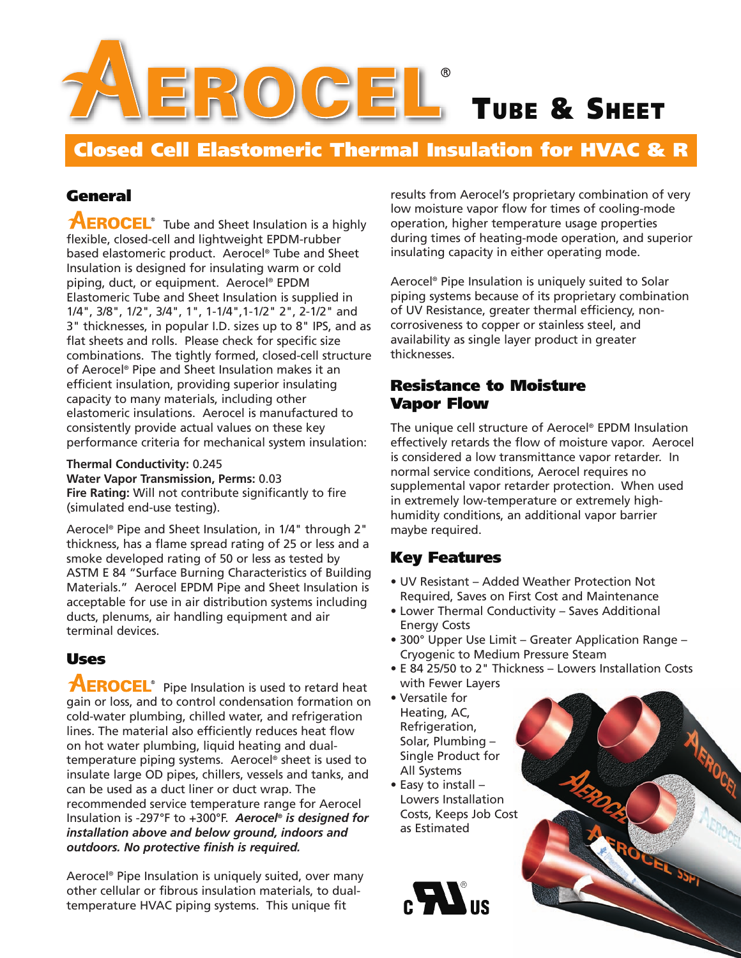

**Closed Cell Elastomeric Thermal Insulation for HVAC & R**

## **General**

**AEROCEL**<sup>®</sup> Tube and Sheet Insulation is a highly flexible, closed-cell and lightweight EPDM-rubber based elastomeric product. Aerocel® Tube and Sheet Insulation is designed for insulating warm or cold piping, duct, or equipment. Aerocel® EPDM Elastomeric Tube and Sheet Insulation is supplied in 1/4", 3/8", 1/2", 3/4", 1", 1-1/4",1-1/2" 2", 2-1/2" and 3" thicknesses, in popular I.D. sizes up to 8" IPS, and as flat sheets and rolls. Please check for specific size combinations. The tightly formed, closed-cell structure of Aerocel® Pipe and Sheet Insulation makes it an efficient insulation, providing superior insulating capacity to many materials, including other elastomeric insulations. Aerocel is manufactured to consistently provide actual values on these key performance criteria for mechanical system insulation:

**Thermal Conductivity:** 0.245

**Water Vapor Transmission, Perms:** 0.03

**Fire Rating:** Will not contribute significantly to fire (simulated end-use testing).

Aerocel® Pipe and Sheet Insulation, in 1/4" through 2" thickness, has a flame spread rating of 25 or less and a smoke developed rating of 50 or less as tested by ASTM E 84 "Surface Burning Characteristics of Building Materials." Aerocel EPDM Pipe and Sheet Insulation is acceptable for use in air distribution systems including ducts, plenums, air handling equipment and air terminal devices.

#### **Uses**

**AEROCEL**<sup>®</sup> Pipe Insulation is used to retard heat gain or loss, and to control condensation formation on cold-water plumbing, chilled water, and refrigeration lines. The material also efficiently reduces heat flow on hot water plumbing, liquid heating and dualtemperature piping systems. Aerocel® sheet is used to insulate large OD pipes, chillers, vessels and tanks, and can be used as a duct liner or duct wrap. The recommended service temperature range for Aerocel Insulation is -297°F to +300°F. *Aerocel® is designed for installation above and below ground, indoors and outdoors. No protective finish is required.*

Aerocel® Pipe Insulation is uniquely suited, over many other cellular or fibrous insulation materials, to dualtemperature HVAC piping systems. This unique fit

results from Aerocel's proprietary combination of very low moisture vapor flow for times of cooling-mode operation, higher temperature usage properties during times of heating-mode operation, and superior insulating capacity in either operating mode.

Aerocel® Pipe Insulation is uniquely suited to Solar piping systems because of its proprietary combination of UV Resistance, greater thermal efficiency, noncorrosiveness to copper or stainless steel, and availability as single layer product in greater thicknesses.

#### **Resistance to Moisture Vapor Flow**

The unique cell structure of Aerocel® EPDM Insulation effectively retards the flow of moisture vapor. Aerocel is considered a low transmittance vapor retarder. In normal service conditions, Aerocel requires no supplemental vapor retarder protection. When used in extremely low-temperature or extremely highhumidity conditions, an additional vapor barrier maybe required.

## **Key Features**

- UV Resistant Added Weather Protection Not Required, Saves on First Cost and Maintenance
- Lower Thermal Conductivity Saves Additional Energy Costs
- 300° Upper Use Limit Greater Application Range Cryogenic to Medium Pressure Steam
- E 84 25/50 to 2" Thickness Lowers Installation Costs with Fewer Layers
- Versatile for Heating, AC, Refrigeration, Solar, Plumbing – Single Product for All Systems
- Easy to install Lowers Installation Costs, Keeps Job Cost as Estimated